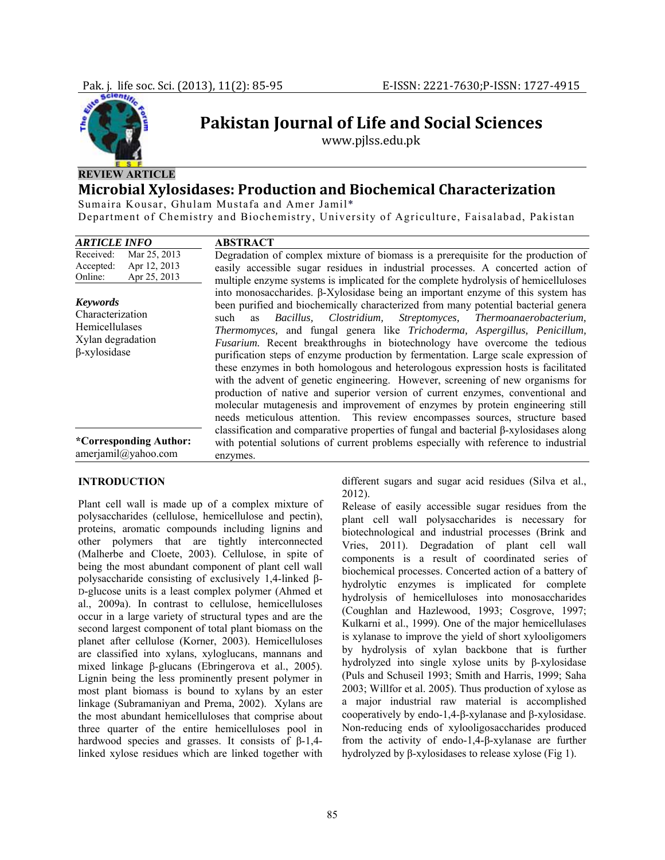

# **Pakistan Journal of Life and Social Sciences**

www.pjlss.edu.pk

# **REVIEW ARTICLE**

# **Microbial Xylosidases: Production and Biochemical Characterization**

Sumaira Kousar, Ghulam Mustafa and Amer Jamil\* Department of Chemistry and Biochemistry, University of Agriculture, Faisalabad, Pakistan

| <i><b>ARTICLE INFO</b></i>                                                                        | <b>ABSTRACT</b>                                                                                                                                                                                                                                                                                                                                                                                                                                                                                                                                                                                                                                                                                                                                                                                                                                                                                                                                                                                                                             |
|---------------------------------------------------------------------------------------------------|---------------------------------------------------------------------------------------------------------------------------------------------------------------------------------------------------------------------------------------------------------------------------------------------------------------------------------------------------------------------------------------------------------------------------------------------------------------------------------------------------------------------------------------------------------------------------------------------------------------------------------------------------------------------------------------------------------------------------------------------------------------------------------------------------------------------------------------------------------------------------------------------------------------------------------------------------------------------------------------------------------------------------------------------|
| Received:<br>Mar 25, 2013<br>Apr 12, 2013<br>Accepted:<br>Apr 25, 2013<br>Online:                 | Degradation of complex mixture of biomass is a prerequisite for the production of<br>easily accessible sugar residues in industrial processes. A concerted action of<br>multiple enzyme systems is implicated for the complete hydrolysis of hemicelluloses                                                                                                                                                                                                                                                                                                                                                                                                                                                                                                                                                                                                                                                                                                                                                                                 |
| <b>Keywords</b><br>Characterization<br>Hemicellulases<br>Xylan degradation<br>$\beta$ -xylosidase | into monosaccharides. $\beta$ -Xylosidase being an important enzyme of this system has<br>been purified and biochemically characterized from many potential bacterial genera<br>Bacillus, Clostridium, Streptomyces, Thermoanaerobacterium,<br>such<br>as<br>Thermomyces, and fungal genera like Trichoderma, Aspergillus, Penicillum,<br><i>Fusarium.</i> Recent breakthroughs in biotechnology have overcome the tedious<br>purification steps of enzyme production by fermentation. Large scale expression of<br>these enzymes in both homologous and heterologous expression hosts is facilitated<br>with the advent of genetic engineering. However, screening of new organisms for<br>production of native and superior version of current enzymes, conventional and<br>molecular mutagenesis and improvement of enzymes by protein engineering still<br>needs meticulous attention. This review encompasses sources, structure based<br>classification and comparative properties of fungal and bacterial $\beta$ -xylosidases along |
| *Corresponding Author:<br>amerjami@yahoo.com                                                      | with potential solutions of current problems especially with reference to industrial<br>enzymes.                                                                                                                                                                                                                                                                                                                                                                                                                                                                                                                                                                                                                                                                                                                                                                                                                                                                                                                                            |

#### **INTRODUCTION**

Plant cell wall is made up of a complex mixture of polysaccharides (cellulose, hemicellulose and pectin), proteins, aromatic compounds including lignins and other polymers that are tightly interconnected (Malherbe and Cloete, 2003). Cellulose, in spite of being the most abundant component of plant cell wall polysaccharide consisting of exclusively 1,4-linked β-D-glucose units is a least complex polymer (Ahmed et al., 2009a). In contrast to cellulose, hemicelluloses occur in a large variety of structural types and are the second largest component of total plant biomass on the planet after cellulose (Korner, 2003). Hemicelluloses are classified into xylans, xyloglucans, mannans and mixed linkage β-glucans (Ebringerova et al., 2005). Lignin being the less prominently present polymer in most plant biomass is bound to xylans by an ester linkage (Subramaniyan and Prema, 2002). Xylans are the most abundant hemicelluloses that comprise about three quarter of the entire hemicelluloses pool in hardwood species and grasses. It consists of β-1,4 linked xylose residues which are linked together with different sugars and sugar acid residues (Silva et al., 2012).

Release of easily accessible sugar residues from the plant cell wall polysaccharides is necessary for biotechnological and industrial processes (Brink and Vries, 2011). Degradation of plant cell wall components is a result of coordinated series of biochemical processes. Concerted action of a battery of hydrolytic enzymes is implicated for complete hydrolysis of hemicelluloses into monosaccharides (Coughlan and Hazlewood, 1993; Cosgrove, 1997; Kulkarni et al., 1999). One of the major hemicellulases is xylanase to improve the yield of short xylooligomers by hydrolysis of xylan backbone that is further hydrolyzed into single xylose units by β-xylosidase (Puls and Schuseil 1993; Smith and Harris, 1999; Saha 2003; Willfor et al. 2005). Thus production of xylose as a major industrial raw material is accomplished cooperatively by endo-1,4-β-xylanase and β-xylosidase. Non-reducing ends of xylooligosaccharides produced from the activity of endo-1,4-β-xylanase are further hydrolyzed by β-xylosidases to release xylose (Fig 1).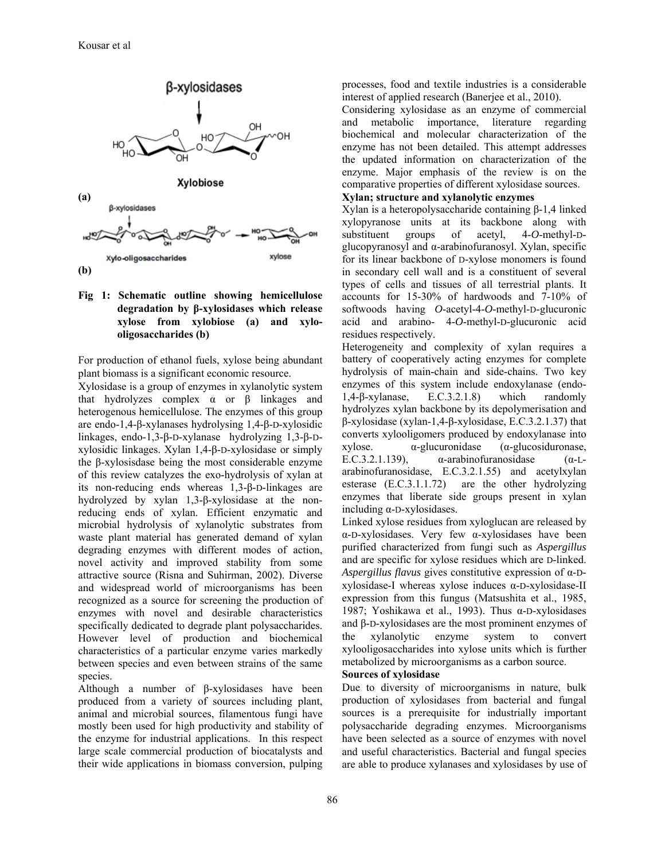

### **Fig 1: Schematic outline showing hemicellulose degradation by β-xylosidases which release xylose from xylobiose (a) and xylooligosaccharides (b)**

For production of ethanol fuels, xylose being abundant plant biomass is a significant economic resource.

Xylosidase is a group of enzymes in xylanolytic system that hydrolyzes complex  $\alpha$  or β linkages and heterogenous hemicellulose. The enzymes of this group are endo-1,4-β-xylanases hydrolysing 1,4-β-D-xylosidic linkages, endo-1,3-β-D-xylanase hydrolyzing 1,3-β-Dxylosidic linkages. Xylan 1,4-β-D-xylosidase or simply the β-xylosisdase being the most considerable enzyme of this review catalyzes the exo-hydrolysis of xylan at its non-reducing ends whereas 1,3-β-D-linkages are hydrolyzed by xylan 1,3-β-xylosidase at the nonreducing ends of xylan. Efficient enzymatic and microbial hydrolysis of xylanolytic substrates from waste plant material has generated demand of xylan degrading enzymes with different modes of action, novel activity and improved stability from some attractive source (Risna and Suhirman, 2002). Diverse and widespread world of microorganisms has been recognized as a source for screening the production of enzymes with novel and desirable characteristics specifically dedicated to degrade plant polysaccharides. However level of production and biochemical characteristics of a particular enzyme varies markedly between species and even between strains of the same species.

Although a number of β-xylosidases have been produced from a variety of sources including plant, animal and microbial sources, filamentous fungi have mostly been used for high productivity and stability of the enzyme for industrial applications. In this respect large scale commercial production of biocatalysts and their wide applications in biomass conversion, pulping

processes, food and textile industries is a considerable interest of applied research (Banerjee et al., 2010).

Considering xylosidase as an enzyme of commercial and metabolic importance, literature regarding biochemical and molecular characterization of the enzyme has not been detailed. This attempt addresses the updated information on characterization of the enzyme. Major emphasis of the review is on the comparative properties of different xylosidase sources.

# **Xylan; structure and xylanolytic enzymes**

Xylan is a heteropolysaccharide containing β-1,4 linked xylopyranose units at its backbone along with<br>substituent groups of acetyl. 4-O-methyl-nsubstituent groups of acetyl, 4-*O*-methyl-Dglucopyranosyl and α-arabinofuranosyl. Xylan, specific for its linear backbone of D-xylose monomers is found in secondary cell wall and is a constituent of several types of cells and tissues of all terrestrial plants. It accounts for 15-30% of hardwoods and 7-10% of softwoods having *O*-acetyl-4-*O*-methyl-D-glucuronic acid and arabino- 4-*O*-methyl-D-glucuronic acid residues respectively.

Heterogeneity and complexity of xylan requires a battery of cooperatively acting enzymes for complete hydrolysis of main-chain and side-chains. Two key enzymes of this system include endoxylanase (endo-1,4-β-xylanase, E.C.3.2.1.8) which randomly hydrolyzes xylan backbone by its depolymerisation and β-xylosidase (xylan-1,4-β-xylosidase, E.C.3.2.1.37) that converts xylooligomers produced by endoxylanase into xylose. α-glucuronidase (α-glucosiduronase, E.C.3.2.1.139),  $\alpha$ -arabinofuranosidase ( $\alpha$ -Larabinofuranosidase, E.C.3.2.1.55) and acetylxylan esterase (E.C.3.1.1.72) are the other hydrolyzing enzymes that liberate side groups present in xylan including α-D-xylosidases.

Linked xylose residues from xyloglucan are released by α-D-xylosidases. Very few α-xylosidases have been purified characterized from fungi such as *Aspergillus* and are specific for xylose residues which are D-linked. *Aspergillus flavus* gives constitutive expression of α-Dxylosidase-I whereas xylose induces α-D-xylosidase-II expression from this fungus (Matsushita et al., 1985, 1987; Yoshikawa et al., 1993). Thus α-D-xylosidases and β-D-xylosidases are the most prominent enzymes of the xylanolytic enzyme system to convert xylooligosaccharides into xylose units which is further metabolized by microorganisms as a carbon source.

#### **Sources of xylosidase**

Due to diversity of microorganisms in nature, bulk production of xylosidases from bacterial and fungal sources is a prerequisite for industrially important polysaccharide degrading enzymes. Microorganisms have been selected as a source of enzymes with novel and useful characteristics. Bacterial and fungal species are able to produce xylanases and xylosidases by use of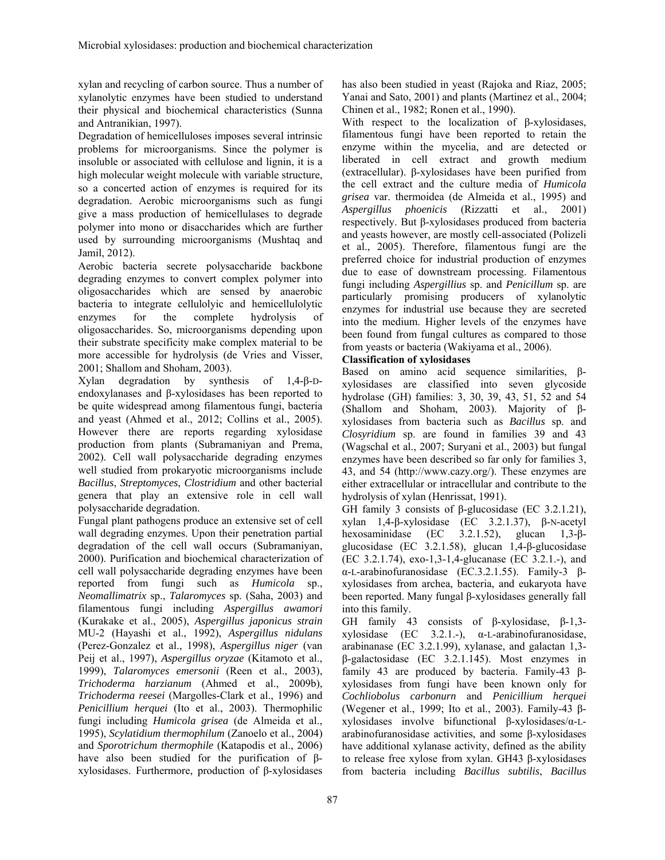xylan and recycling of carbon source. Thus a number of xylanolytic enzymes have been studied to understand their physical and biochemical characteristics (Sunna and Antranikian, 1997).

Degradation of hemicelluloses imposes several intrinsic problems for microorganisms. Since the polymer is insoluble or associated with cellulose and lignin, it is a high molecular weight molecule with variable structure, so a concerted action of enzymes is required for its degradation. Aerobic microorganisms such as fungi give a mass production of hemicellulases to degrade polymer into mono or disaccharides which are further used by surrounding microorganisms (Mushtaq and Jamil, 2012).

Aerobic bacteria secrete polysaccharide backbone degrading enzymes to convert complex polymer into oligosaccharides which are sensed by anaerobic bacteria to integrate cellulolyic and hemicellulolytic enzymes for the complete hydrolysis of oligosaccharides. So, microorganisms depending upon their substrate specificity make complex material to be more accessible for hydrolysis (de Vries and Visser, 2001; Shallom and Shoham, 2003).

Xylan degradation by synthesis of 1,4-β-Dendoxylanases and β-xylosidases has been reported to be quite widespread among filamentous fungi, bacteria and yeast (Ahmed et al., 2012; Collins et al., 2005). However there are reports regarding xylosidase production from plants (Subramaniyan and Prema, 2002). Cell wall polysaccharide degrading enzymes well studied from prokaryotic microorganisms include *Bacillus*, *Streptomyces*, *Clostridium* and other bacterial genera that play an extensive role in cell wall polysaccharide degradation.

Fungal plant pathogens produce an extensive set of cell wall degrading enzymes. Upon their penetration partial degradation of the cell wall occurs (Subramaniyan, 2000). Purification and biochemical characterization of cell wall polysaccharide degrading enzymes have been reported from fungi such as *Humicola* sp., *Neomallimatrix* sp., *Talaromyces* sp. (Saha, 2003) and filamentous fungi including *Aspergillus awamori* (Kurakake et al., 2005), *Aspergillus japonicus strain* MU-2 (Hayashi et al., 1992), *Aspergillus nidulans*  (Perez-Gonzalez et al., 1998), *Aspergillus niger* (van Peij et al., 1997), *Aspergillus oryzae* (Kitamoto et al., 1999), *Talaromyces emersonii* (Reen et al., 2003), *Trichoderma harzianum* (Ahmed et al., 2009b), *Trichoderma reesei* (Margolles-Clark et al., 1996) and *Penicillium herquei* (Ito et al., 2003). Thermophilic fungi including *Humicola grisea* (de Almeida et al., 1995), *Scylatidium thermophilum* (Zanoelo et al., 2004) and *Sporotrichum thermophile* (Katapodis et al., 2006) have also been studied for the purification of βxylosidases. Furthermore, production of β-xylosidases

has also been studied in yeast (Rajoka and Riaz, 2005; Yanai and Sato, 2001) and plants (Martinez et al., 2004; Chinen et al., 1982; Ronen et al., 1990).

With respect to the localization of β-xylosidases, filamentous fungi have been reported to retain the enzyme within the mycelia, and are detected or liberated in cell extract and growth medium (extracellular). β-xylosidases have been purified from the cell extract and the culture media of *Humicola grisea* var. thermoidea (de Almeida et al., 1995) and *Aspergillus phoenicis* (Rizzatti et al., 2001) respectively. But β-xylosidases produced from bacteria and yeasts however, are mostly cell-associated (Polizeli et al., 2005). Therefore, filamentous fungi are the preferred choice for industrial production of enzymes due to ease of downstream processing. Filamentous fungi including *Aspergillius* sp. and *Penicillum* sp. are particularly promising producers of xylanolytic enzymes for industrial use because they are secreted into the medium. Higher levels of the enzymes have been found from fungal cultures as compared to those from yeasts or bacteria (Wakiyama et al., 2006).

# **Classification of xylosidases**

Based on amino acid sequence similarities, βxylosidases are classified into seven glycoside hydrolase (GH) families: 3, 30, 39, 43, 51, 52 and 54 (Shallom and Shoham, 2003). Majority of βxylosidases from bacteria such as *Bacillus* sp. and *Closyridium* sp. are found in families 39 and 43 (Wagschal et al., 2007; Suryani et al., 2003) but fungal enzymes have been described so far only for families 3, 43, and 54 (http://www.cazy.org/). These enzymes are either extracellular or intracellular and contribute to the hydrolysis of xylan (Henrissat, 1991).

GH family 3 consists of β-glucosidase (EC 3.2.1.21), xylan 1,4-β-xylosidase (EC 3.2.1.37), β-N-acetyl hexosaminidase (EC 3.2.1.52), glucan 1,3-βglucosidase (EC 3.2.1.58), glucan 1,4-β-glucosidase (EC 3.2.1.74), exo-1,3-1,4-glucanase (EC 3.2.1.-), and α-L-arabinofuranosidase (EC.3.2.1.55). Family-3 βxylosidases from archea, bacteria, and eukaryota have been reported. Many fungal β-xylosidases generally fall into this family.

GH family 43 consists of β-xylosidase, β-1,3 xylosidase (EC 3.2.1.-),  $\alpha$ -L-arabinofuranosidase, arabinanase (EC 3.2.1.99), xylanase, and galactan 1,3 β-galactosidase (EC 3.2.1.145). Most enzymes in family 43 are produced by bacteria. Family-43 βxylosidases from fungi have been known only for *Cochliobolus carbonurn* and *Penicillium herquei* (Wegener et al., 1999; Ito et al., 2003). Family-43 βxylosidases involve bifunctional β-xylosidases/α-Larabinofuranosidase activities, and some β-xylosidases have additional xylanase activity, defined as the ability to release free xylose from xylan. GH43 β-xylosidases from bacteria including *Bacillus subtilis*, *Bacillus*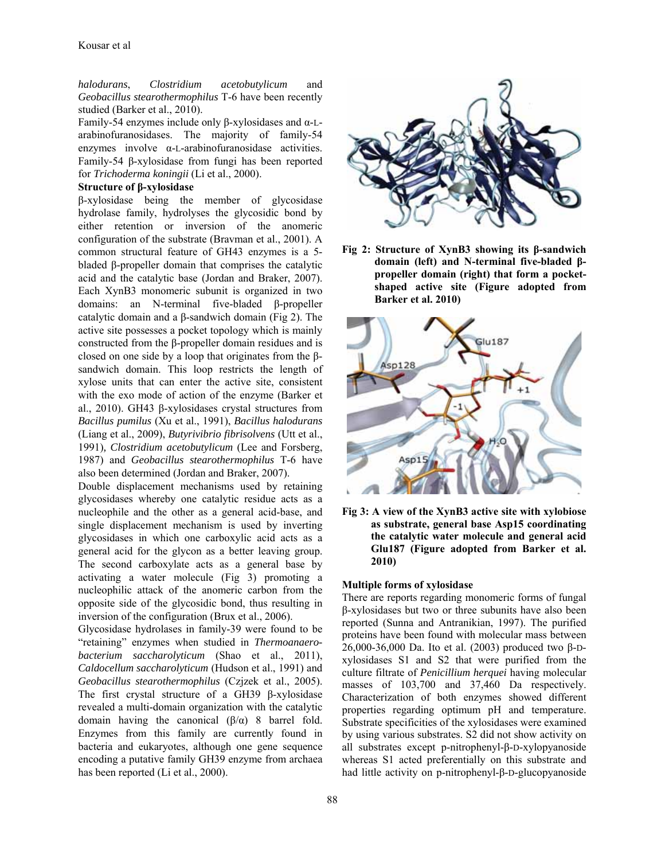*halodurans*, *Clostridium acetobutylicum* and *Geobacillus stearothermophilus* T-6 have been recently studied (Barker et al., 2010).

Family-54 enzymes include only β-xylosidases and α-Larabinofuranosidases. The majority of family-54 enzymes involve α-L-arabinofuranosidase activities. Family-54 β-xylosidase from fungi has been reported for *Trichoderma koningii* (Li et al., 2000).

#### **Structure of β-xylosidase**

β-xylosidase being the member of glycosidase hydrolase family, hydrolyses the glycosidic bond by either retention or inversion of the anomeric configuration of the substrate (Bravman et al., 2001). A common structural feature of GH43 enzymes is a 5 bladed β-propeller domain that comprises the catalytic acid and the catalytic base (Jordan and Braker, 2007). Each XynB3 monomeric subunit is organized in two domains: an N-terminal five-bladed β-propeller catalytic domain and a β-sandwich domain (Fig 2). The active site possesses a pocket topology which is mainly constructed from the β-propeller domain residues and is closed on one side by a loop that originates from the  $\beta$ sandwich domain. This loop restricts the length of xylose units that can enter the active site, consistent with the exo mode of action of the enzyme (Barker et al., 2010). GH43 β-xylosidases crystal structures from *Bacillus pumilus* (Xu et al., 1991), *Bacillus halodurans* (Liang et al., 2009), *Butyrivibrio fibrisolvens* (Utt et al., 1991)*, Clostridium acetobutylicum* (Lee and Forsberg, 1987) and *Geobacillus stearothermophilus* T-6 have also been determined (Jordan and Braker, 2007).

Double displacement mechanisms used by retaining glycosidases whereby one catalytic residue acts as a nucleophile and the other as a general acid-base, and single displacement mechanism is used by inverting glycosidases in which one carboxylic acid acts as a general acid for the glycon as a better leaving group. The second carboxylate acts as a general base by activating a water molecule (Fig 3) promoting a nucleophilic attack of the anomeric carbon from the opposite side of the glycosidic bond, thus resulting in inversion of the configuration (Brux et al., 2006).

Glycosidase hydrolases in family-39 were found to be "retaining" enzymes when studied in *Thermoanaerobacterium saccharolyticum* (Shao et al., 2011), *Caldocellum saccharolyticum* (Hudson et al., 1991) and *Geobacillus stearothermophilus* (Czjzek et al., 2005). The first crystal structure of a GH39 β-xylosidase revealed a multi-domain organization with the catalytic domain having the canonical (β/α) 8 barrel fold. Enzymes from this family are currently found in bacteria and eukaryotes, although one gene sequence encoding a putative family GH39 enzyme from archaea has been reported (Li et al., 2000).



**Fig 2: Structure of XynB3 showing its β-sandwich domain (left) and N-terminal five-bladed βpropeller domain (right) that form a pocketshaped active site (Figure adopted from Barker et al. 2010)** 



**Fig 3: A view of the XynB3 active site with xylobiose as substrate, general base Asp15 coordinating the catalytic water molecule and general acid Glu187 (Figure adopted from Barker et al. 2010)** 

#### **Multiple forms of xylosidase**

There are reports regarding monomeric forms of fungal β-xylosidases but two or three subunits have also been reported (Sunna and Antranikian, 1997). The purified proteins have been found with molecular mass between 26,000-36,000 Da. Ito et al. (2003) produced two β-Dxylosidases S1 and S2 that were purified from the culture filtrate of *Penicillium herquei* having molecular masses of 103,700 and 37,460 Da respectively. Characterization of both enzymes showed different properties regarding optimum pH and temperature. Substrate specificities of the xylosidases were examined by using various substrates. S2 did not show activity on all substrates except p-nitrophenyl-β-D-xylopyanoside whereas S1 acted preferentially on this substrate and had little activity on p-nitrophenyl-β-D-glucopyanoside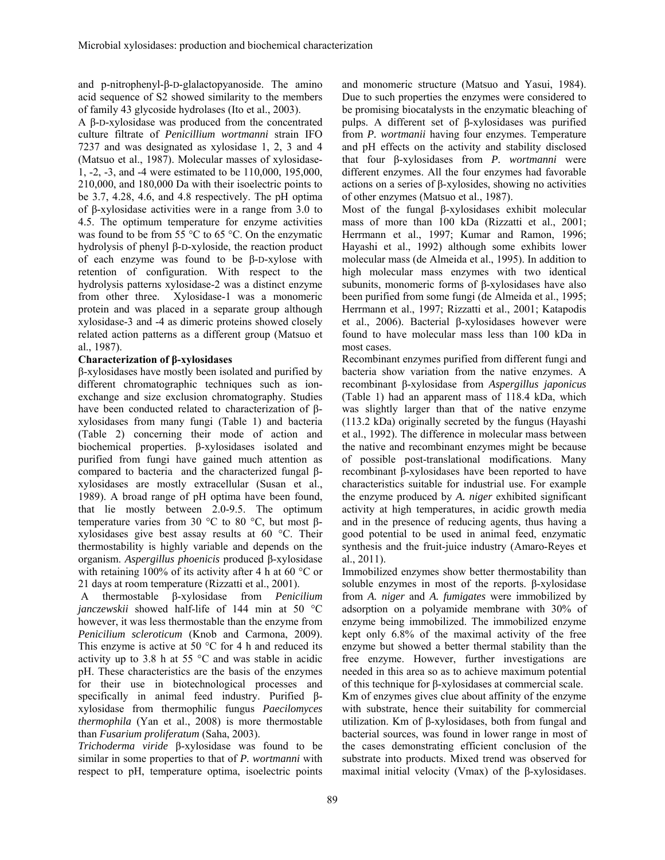and p-nitrophenyl-β-D-glalactopyanoside. The amino acid sequence of S2 showed similarity to the members of family 43 glycoside hydrolases (Ito et al., 2003).

A β-D-xylosidase was produced from the concentrated culture filtrate of *Penicillium wortmanni* strain IFO 7237 and was designated as xylosidase 1, 2, 3 and 4 (Matsuo et al., 1987). Molecular masses of xylosidase-1, -2, -3, and -4 were estimated to be 110,000, 195,000, 210,000, and 180,000 Da with their isoelectric points to be 3.7, 4.28, 4.6, and 4.8 respectively. The pH optima of β-xylosidase activities were in a range from 3.0 to 4.5. The optimum temperature for enzyme activities was found to be from 55 °C to 65 °C. On the enzymatic hydrolysis of phenyl β-D-xyloside, the reaction product of each enzyme was found to be β-D-xylose with retention of configuration. With respect to the hydrolysis patterns xylosidase-2 was a distinct enzyme from other three. Xylosidase-1 was a monomeric protein and was placed in a separate group although xylosidase-3 and -4 as dimeric proteins showed closely related action patterns as a different group (Matsuo et al., 1987).

## **Characterization of β-xylosidases**

β-xylosidases have mostly been isolated and purified by different chromatographic techniques such as ionexchange and size exclusion chromatography. Studies have been conducted related to characterization of βxylosidases from many fungi (Table 1) and bacteria (Table 2) concerning their mode of action and biochemical properties. β-xylosidases isolated and purified from fungi have gained much attention as compared to bacteria and the characterized fungal βxylosidases are mostly extracellular (Susan et al., 1989). A broad range of pH optima have been found, that lie mostly between 2.0-9.5. The optimum temperature varies from 30 °C to 80 °C, but most βxylosidases give best assay results at 60 °C. Their thermostability is highly variable and depends on the organism. *Aspergillus phoenicis* produced β-xylosidase with retaining 100% of its activity after 4 h at 60 °C or 21 days at room temperature (Rizzatti et al., 2001).

 A thermostable β-xylosidase from *Penicilium janczewskii* showed half-life of 144 min at 50 °C however, it was less thermostable than the enzyme from *Penicilium scleroticum* (Knob and Carmona, 2009). This enzyme is active at 50  $\degree$ C for 4 h and reduced its activity up to 3.8 h at 55 °C and was stable in acidic pH. These characteristics are the basis of the enzymes for their use in biotechnological processes and specifically in animal feed industry. Purified βxylosidase from thermophilic fungus *Paecilomyces thermophila* (Yan et al., 2008) is more thermostable than *Fusarium proliferatum* (Saha, 2003).

*Trichoderma viride* β-xylosidase was found to be similar in some properties to that of *P. wortmanni* with respect to pH, temperature optima, isoelectric points

and monomeric structure (Matsuo and Yasui, 1984). Due to such properties the enzymes were considered to be promising biocatalysts in the enzymatic bleaching of pulps. A different set of β-xylosidases was purified from *P. wortmanii* having four enzymes. Temperature and pH effects on the activity and stability disclosed that four β-xylosidases from *P. wortmanni* were different enzymes. All the four enzymes had favorable actions on a series of β-xylosides, showing no activities of other enzymes (Matsuo et al., 1987).

Most of the fungal β-xylosidases exhibit molecular mass of more than 100 kDa (Rizzatti et al., 2001; Herrmann et al., 1997; Kumar and Ramon, 1996; Hayashi et al., 1992) although some exhibits lower molecular mass (de Almeida et al., 1995). In addition to high molecular mass enzymes with two identical subunits, monomeric forms of β-xylosidases have also been purified from some fungi (de Almeida et al., 1995; Herrmann et al., 1997; Rizzatti et al., 2001; Katapodis et al., 2006). Bacterial β-xylosidases however were found to have molecular mass less than 100 kDa in most cases.

Recombinant enzymes purified from different fungi and bacteria show variation from the native enzymes. A recombinant β-xylosidase from *Aspergillus japonicus* (Table 1) had an apparent mass of 118.4 kDa, which was slightly larger than that of the native enzyme (113.2 kDa) originally secreted by the fungus (Hayashi et al., 1992). The difference in molecular mass between the native and recombinant enzymes might be because of possible post-translational modifications. Many recombinant β-xylosidases have been reported to have characteristics suitable for industrial use. For example the enzyme produced by *A. niger* exhibited significant activity at high temperatures, in acidic growth media and in the presence of reducing agents, thus having a good potential to be used in animal feed, enzymatic synthesis and the fruit-juice industry (Amaro-Reyes et al., 2011).

Immobilized enzymes show better thermostability than soluble enzymes in most of the reports. β-xylosidase from *A. niger* and *A. fumigates* were immobilized by adsorption on a polyamide membrane with 30% of enzyme being immobilized. The immobilized enzyme kept only 6.8% of the maximal activity of the free enzyme but showed a better thermal stability than the free enzyme. However, further investigations are needed in this area so as to achieve maximum potential of this technique for β-xylosidases at commercial scale.

Km of enzymes gives clue about affinity of the enzyme with substrate, hence their suitability for commercial utilization. Km of β-xylosidases, both from fungal and bacterial sources, was found in lower range in most of the cases demonstrating efficient conclusion of the substrate into products. Mixed trend was observed for maximal initial velocity (Vmax) of the β-xylosidases.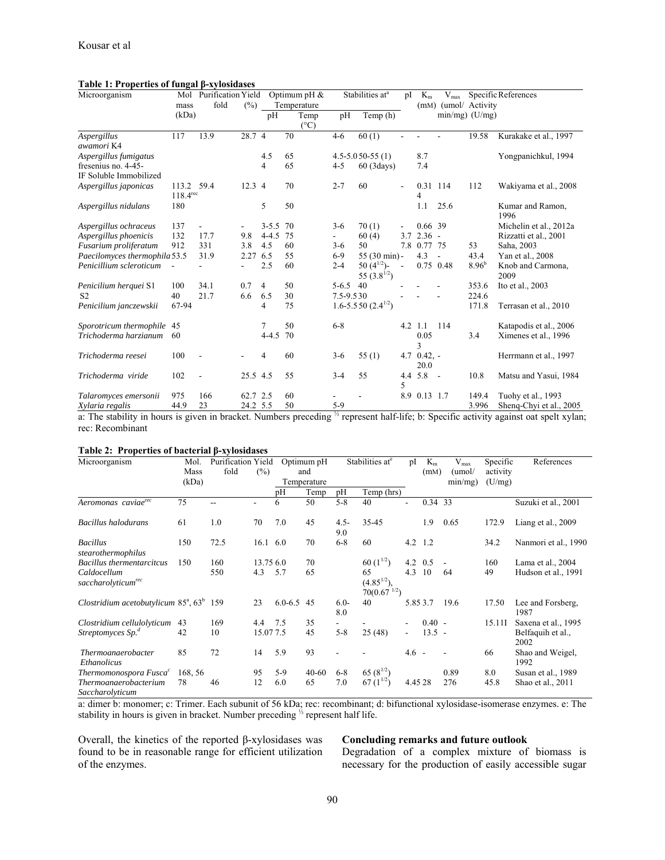#### **Table 1: Properties of fungal β-xylosidases**

| Microorganism                 | Mol                           | Purification Yield |                   | Optimum pH $&$ |                       | Stabilities at <sup>a</sup> |                                      | pI       | $K_{m}$                      | $V_{\rm max}$        | Specific References |                           |
|-------------------------------|-------------------------------|--------------------|-------------------|----------------|-----------------------|-----------------------------|--------------------------------------|----------|------------------------------|----------------------|---------------------|---------------------------|
|                               | mass                          | fold               | $(\%)$            |                | Temperature           |                             |                                      |          |                              | (mM) (umol/ Activity |                     |                           |
|                               | (kDa)                         |                    |                   | pH             | Temp<br>$(^{\circ}C)$ | pH                          | Temp (h)                             |          |                              | $min/mg$ ) (U/mg)    |                     |                           |
| Aspergillus<br>awamori K4     | 117                           | 13.9               | 28.7 4            |                | 70                    | $4 - 6$                     | 60(1)                                |          |                              |                      | 19.58               | Kurakake et al., 1997     |
| Aspergillus fumigatus         |                               |                    |                   | 4.5            | 65                    |                             | $4.5 - 5.050 - 55(1)$                |          | 8.7                          |                      |                     | Yongpanichkul, 1994       |
| fresenius no. 4-45-           |                               |                    |                   | $\overline{4}$ | 65                    | $4 - 5$                     | $60$ (3days)                         |          | 7.4                          |                      |                     |                           |
| IF Soluble Immobilized        |                               |                    |                   |                |                       |                             |                                      |          |                              |                      |                     |                           |
| Aspergillus japonicas         | 113.2<br>$118.4^{\text{rec}}$ | 59.4               | 12.3 <sub>4</sub> |                | 70                    | $2 - 7$                     | 60                                   |          | 0.31 114<br>4                |                      | 112                 | Wakiyama et al., 2008     |
| Aspergillus nidulans          | 180                           |                    |                   | 5              | 50                    |                             |                                      |          | 1.1                          | 25.6                 |                     | Kumar and Ramon,<br>1996  |
| Aspergillus ochraceus         | 137                           | $\blacksquare$     |                   | $3 - 5.5$      | 70                    | $3-6$                       | 70(1)                                |          | 0.66 39                      |                      |                     | Michelin et al., 2012a    |
| Aspergillus phoenicis         | 132                           | 17.7               | 9.8               | $4 - 4.5$      | 75                    |                             | 60(4)                                | 3.7      | $2.36 -$                     |                      |                     | Rizzatti et al., 2001     |
| Fusarium proliferatum         | 912                           | 331                | 3.8               | 4.5            | 60                    | $3-6$                       | 50                                   | 7.8      | 0.77                         | 75                   | 53                  | Saha, 2003                |
| Paecilomyces thermophila 53.5 |                               | 31.9               | 2.27              | 6.5            | 55                    | $6-9$                       | $55(30 \text{ min})$ -               |          | 4.3                          |                      | 43.4                | Yan et al., 2008          |
| Penicillium scleroticum       |                               |                    |                   | 2.5            | 60                    | $2 - 4$                     | 50 $(4^{1/2})$ -<br>55 $(3.8^{1/2})$ |          | 0.75 0.48                    |                      | $8.96^{b}$          | Knob and Carmona,<br>2009 |
| Penicilium herquei S1         | 100                           | 34.1               | 0.7               | 4              | 50                    | $5 - 6.5$                   | 40                                   |          |                              |                      | 353.6               | Ito et al., 2003          |
| S <sub>2</sub>                | 40                            | 21.7               | 6.6               | 6.5            | 30                    | 7.5-9.530                   |                                      |          |                              |                      | 224.6               |                           |
| Penicilium janczewskii        | 67-94                         |                    |                   | 4              | 75                    |                             | 1.6-5.5 50 $(2.4^{1/2})$             |          |                              |                      | 171.8               | Terrasan et al., 2010     |
| Sporotricum thermophile       | 45                            |                    |                   | 7              | 50                    | $6 - 8$                     |                                      | 4.2      | -1.1                         | 114                  |                     | Katapodis et al., 2006    |
| Trichoderma harzianum         | 60                            |                    |                   | $4 - 4.5$      | 70                    |                             |                                      |          | 0.05<br>3                    |                      | 3.4                 | Ximenes et al., 1996      |
| Trichoderma reesei            | 100                           |                    |                   | 4              | 60                    | $3-6$                       | 55(1)                                |          | $4.7 \quad 0.42$ , -<br>20.0 |                      |                     | Herrmann et al., 1997     |
| Trichoderma viride            | 102                           |                    | 25.5 4.5          |                | 55                    | $3 - 4$                     | 55                                   | 4.4<br>5 | 5.8                          | $\sim$               | 10.8                | Matsu and Yasui, 1984     |
| Talaromyces emersonii         | 975                           | 166                | 62.7 2.5          |                | 60                    |                             |                                      | 8.9      | $0.13$ 1.7                   |                      | 149.4               | Tuohy et al., 1993        |
| Xylaria regalis               | 44.9                          | 23                 | 24.2 5.5          |                | 50                    | $5-9$<br>17.                |                                      |          |                              |                      | 3.996               | Sheng-Chyi et al., 2005   |

a: The stability in hours is given in bracket. Numbers preceding <sup>1/2</sup> represent half-life; b: Specific activity against oat spelt xylan; rec: Recombinant

#### **Table 2: Properties of bacterial β-xylosidases**

| Microorganism                                                  | Mol.    | Purification Yield |           |                | Optimum pH  |                | Stabilities at <sup>e</sup>               | pI                       | $K_m$    | $V_{max}$      | Specific | References                |
|----------------------------------------------------------------|---------|--------------------|-----------|----------------|-------------|----------------|-------------------------------------------|--------------------------|----------|----------------|----------|---------------------------|
|                                                                | Mass    | fold               | (%)       |                | and         |                |                                           |                          | (mM)     | (umol/         | activity |                           |
|                                                                | (kDa)   |                    |           |                | Temperature |                |                                           |                          |          | $min/mg$ )     | (U/mg)   |                           |
|                                                                |         |                    |           | pH             | Temp        | pH             | Temp (hrs)                                |                          |          |                |          |                           |
| Aeromonas caviae <sup>rec</sup>                                | 75      |                    |           | 6              | 50          | $5 - 8$        | 40                                        | Ξ.                       | 0.34 33  |                |          | Suzuki et al., 2001       |
| <b>Bacillus</b> halodurans                                     | 61      | 1.0                | 70        | 7.0            | 45          | $4.5 -$<br>9.0 | 35-45                                     |                          | 1.9      | 0.65           | 172.9    | Liang et al., $2009$      |
| <b>Bacillus</b><br>stearothermophilus                          | 150     | 72.5               | 16.1      | 6.0            | 70          | $6 - 8$        | 60                                        | 4.2                      | 1.2      |                | 34.2     | Nanmori et al., 1990      |
| <b>Bacillus thermentarcitcus</b>                               | 150     | 160                | 13.75 6.0 |                | 70          |                | 60 $(1^{1/2})$                            | 4.2                      | 0.5      |                | 160      | Lama et al., 2004         |
| Caldocellum<br>saccharolyticum <sup>rec</sup>                  |         | 550                | 4.3       | 5.7            | 65          |                | 65<br>$(4.85^{1/2}),$<br>$70(0.67^{1/2})$ | 4.3                      | 10       | 64             | 49       | Hudson et al., 1991       |
| Clostridium acetobutylicum $85^{\degree}$ , $63^{\degree}$ 159 |         |                    | 23        | $6.0 - 6.5$ 45 |             | $6.0-$<br>8.0  | 40                                        | 5.85 3.7                 |          | 19.6           | 17.50    | Lee and Forsberg,<br>1987 |
| Clostridium cellulolyticum                                     | 43      | 169                | 4.4       | 7.5            | 35          | ٠.             |                                           |                          | $0.40 -$ |                | 15.11I   | Saxena et al., 1995       |
| Streptomyces Sp. <sup>a</sup>                                  | 42      | 10                 | 15.077.5  |                | 45          | $5 - 8$        | 25(48)                                    | $\overline{\phantom{0}}$ | $13.5 -$ |                |          | Belfaquih et al.,<br>2002 |
| <i>Thermoanaerobacter</i><br>Ethanolicus                       | 85      | 72                 | 14        | 5.9            | 93          |                |                                           | $4.6 -$                  |          | $\blacksquare$ | 66       | Shao and Weigel,<br>1992  |
| Thermomonospora Fusca <sup>c</sup>                             | 168, 56 |                    | 95        | $5-9$          | $40 - 60$   | $6 - 8$        | 65 ( $8^{1/2}$ )                          |                          |          | 0.89           | 8.0      | Susan et al., 1989        |
| Thermoanaerobacterium<br>Saccharolyticum                       | 78      | 46                 | 12        | 6.0            | 65          | 7.0            | 67 $(1^{1/2})$                            | 4.45 28                  |          | 276            | 45.8     | Shao et al., 2011         |

a: dimer b: monomer; c: Trimer. Each subunit of 56 kDa; rec: recombinant; d: bifunctional xylosidase-isomerase enzymes. e: The stability in hours is given in bracket. Number preceding <sup>1/2</sup> represent half life.

Overall, the kinetics of the reported β-xylosidases was found to be in reasonable range for efficient utilization of the enzymes.

# **Concluding remarks and future outlook**

Degradation of a complex mixture of biomass is necessary for the production of easily accessible sugar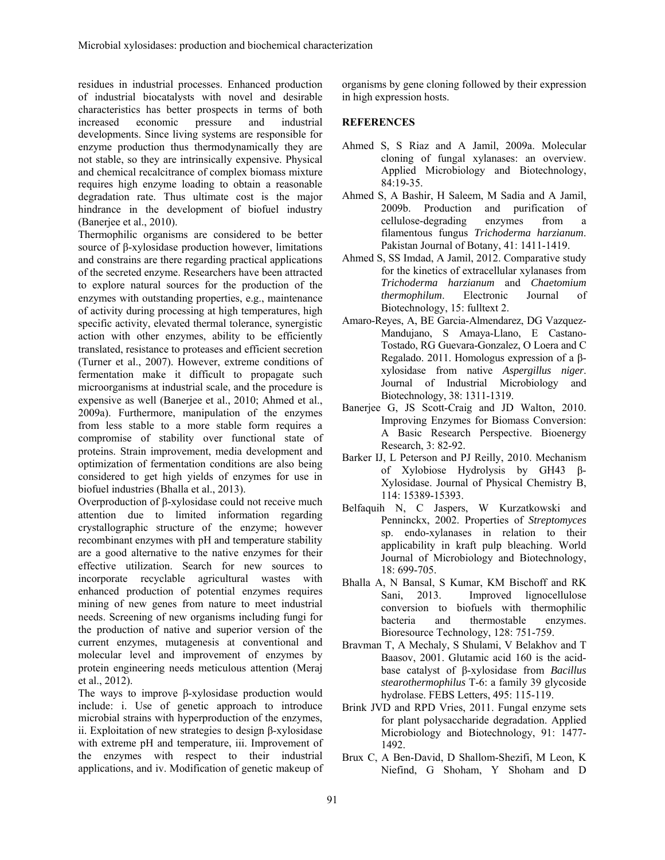residues in industrial processes. Enhanced production of industrial biocatalysts with novel and desirable characteristics has better prospects in terms of both increased economic pressure and industrial developments. Since living systems are responsible for enzyme production thus thermodynamically they are not stable, so they are intrinsically expensive. Physical and chemical recalcitrance of complex biomass mixture requires high enzyme loading to obtain a reasonable degradation rate. Thus ultimate cost is the major hindrance in the development of biofuel industry (Banerjee et al., 2010).

Thermophilic organisms are considered to be better source of β-xylosidase production however, limitations and constrains are there regarding practical applications of the secreted enzyme. Researchers have been attracted to explore natural sources for the production of the enzymes with outstanding properties, e.g., maintenance of activity during processing at high temperatures, high specific activity, elevated thermal tolerance, synergistic action with other enzymes, ability to be efficiently translated, resistance to proteases and efficient secretion (Turner et al., 2007). However, extreme conditions of fermentation make it difficult to propagate such microorganisms at industrial scale, and the procedure is expensive as well (Banerjee et al., 2010; Ahmed et al., 2009a). Furthermore, manipulation of the enzymes from less stable to a more stable form requires a compromise of stability over functional state of proteins. Strain improvement, media development and optimization of fermentation conditions are also being considered to get high yields of enzymes for use in biofuel industries (Bhalla et al., 2013).

Overproduction of β-xylosidase could not receive much attention due to limited information regarding crystallographic structure of the enzyme; however recombinant enzymes with pH and temperature stability are a good alternative to the native enzymes for their effective utilization. Search for new sources to incorporate recyclable agricultural wastes with enhanced production of potential enzymes requires mining of new genes from nature to meet industrial needs. Screening of new organisms including fungi for the production of native and superior version of the current enzymes, mutagenesis at conventional and molecular level and improvement of enzymes by protein engineering needs meticulous attention (Meraj et al., 2012).

The ways to improve β-xylosidase production would include: i. Use of genetic approach to introduce microbial strains with hyperproduction of the enzymes, ii. Exploitation of new strategies to design β-xylosidase with extreme pH and temperature, iii. Improvement of the enzymes with respect to their industrial applications, and iv. Modification of genetic makeup of organisms by gene cloning followed by their expression in high expression hosts.

# **REFERENCES**

- Ahmed S, S Riaz and A Jamil, 2009a. Molecular cloning of fungal xylanases: an overview. Applied Microbiology and Biotechnology, 84:19-35.
- Ahmed S, A Bashir, H Saleem, M Sadia and A Jamil, 2009b. Production and purification of cellulose-degrading enzymes from a filamentous fungus *Trichoderma harzianum*. Pakistan Journal of Botany, 41: 1411-1419.
- Ahmed S, SS Imdad, A Jamil, 2012. Comparative study for the kinetics of extracellular xylanases from *Trichoderma harzianum* and *Chaetomium thermophilum*. Electronic Journal of Biotechnology, 15: fulltext 2.
- Amaro-Reyes, A, BE Garcia-Almendarez, DG Vazquez-Mandujano, S Amaya-Llano, E Castano-Tostado, RG Guevara-Gonzalez, O Loera and C Regalado. 2011. Homologus expression of a βxylosidase from native *Aspergillus niger*. Journal of Industrial Microbiology and Biotechnology, 38: 1311-1319.
- Banerjee G, JS Scott-Craig and JD Walton, 2010. Improving Enzymes for Biomass Conversion: A Basic Research Perspective. Bioenergy Research, 3: 82-92.
- Barker IJ, L Peterson and PJ Reilly, 2010. Mechanism of Xylobiose Hydrolysis by GH43 β-Xylosidase. Journal of Physical Chemistry B, 114: 15389-15393.
- Belfaquih N, C Jaspers, W Kurzatkowski and Penninckx, 2002. Properties of *Streptomyces* sp. endo-xylanases in relation to their applicability in kraft pulp bleaching. World Journal of Microbiology and Biotechnology, 18: 699-705.
- Bhalla A, N Bansal, S Kumar, KM Bischoff and RK Sani, 2013. Improved lignocellulose conversion to biofuels with thermophilic bacteria and thermostable enzymes. Bioresource Technology, 128: 751-759.
- Bravman T, A Mechaly, S Shulami, V Belakhov and T Baasov, 2001. Glutamic acid 160 is the acidbase catalyst of β-xylosidase from *Bacillus stearothermophilus* T-6: a family 39 glycoside hydrolase. FEBS Letters, 495: 115-119.
- Brink JVD and RPD Vries, 2011. Fungal enzyme sets for plant polysaccharide degradation. Applied Microbiology and Biotechnology, 91: 1477- 1492.
- Brux C, A Ben-David, D Shallom-Shezifi, M Leon, K Niefind, G Shoham, Y Shoham and D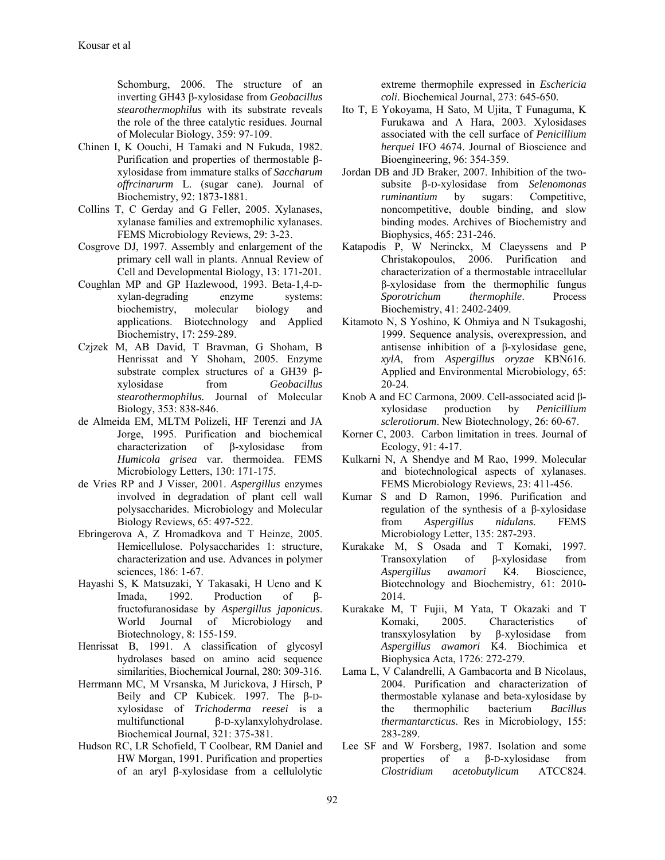Schomburg, 2006. The structure of an inverting GH43 β-xylosidase from *Geobacillus stearothermophilus* with its substrate reveals the role of the three catalytic residues. Journal of Molecular Biology, 359: 97-109.

- Chinen I, K Oouchi, H Tamaki and N Fukuda, 1982. Purification and properties of thermostable βxylosidase from immature stalks of *Saccharum offrcinarurm* L. (sugar cane). Journal of Biochemistry, 92: 1873-1881.
- Collins T, C Gerday and G Feller, 2005. Xylanases, xylanase families and extremophilic xylanases. FEMS Microbiology Reviews, 29: 3-23.
- Cosgrove DJ, 1997. Assembly and enlargement of the primary cell wall in plants. Annual Review of Cell and Developmental Biology, 13: 171-201.
- Coughlan MP and GP Hazlewood, 1993. Beta-1,4-Dxylan-degrading enzyme systems: biochemistry, molecular biology and applications. Biotechnology and Applied Biochemistry, 17: 259-289.
- Czjzek M, AB David, T Bravman, G Shoham, B Henrissat and Y Shoham, 2005. Enzyme substrate complex structures of a GH39 βxylosidase from *Geobacillus stearothermophilus.* Journal of Molecular Biology, 353: 838-846.
- de Almeida EM, MLTM Polizeli, HF Terenzi and JA Jorge, 1995. Purification and biochemical characterization of β-xylosidase from *Humicola grisea* var. thermoidea. FEMS Microbiology Letters, 130: 171-175.
- de Vries RP and J Visser, 2001. *Aspergillus* enzymes involved in degradation of plant cell wall polysaccharides. Microbiology and Molecular Biology Reviews, 65: 497-522.
- Ebringerova A, Z Hromadkova and T Heinze, 2005. Hemicellulose. Polysaccharides 1: structure, characterization and use. Advances in polymer sciences, 186: 1-67.
- Hayashi S, K Matsuzaki, Y Takasaki, H Ueno and K Imada, 1992. Production of βfructofuranosidase by *Aspergillus japonicus*. World Journal of Microbiology and Biotechnology, 8: 155-159.
- Henrissat B, 1991. A classification of glycosyl hydrolases based on amino acid sequence similarities, Biochemical Journal, 280: 309-316.
- Herrmann MC, M Vrsanska, M Jurickova, J Hirsch, P Beily and CP Kubicek. 1997. The β-Dxylosidase of *Trichoderma reesei* is a multifunctional β-D-xylanxylohydrolase. Biochemical Journal, 321: 375-381.
- Hudson RC, LR Schofield, T Coolbear, RM Daniel and HW Morgan, 1991. Purification and properties of an aryl β-xylosidase from a cellulolytic

extreme thermophile expressed in *Eschericia coli*. Biochemical Journal, 273: 645-650.

- Ito T, E Yokoyama, H Sato, M Ujita, T Funaguma, K Furukawa and A Hara, 2003. Xylosidases associated with the cell surface of *Penicillium herquei* IFO 4674. Journal of Bioscience and Bioengineering, 96: 354-359.
- Jordan DB and JD Braker, 2007. Inhibition of the twosubsite β-D-xylosidase from *Selenomonas ruminantium* by sugars: Competitive, noncompetitive, double binding, and slow binding modes. Archives of Biochemistry and Biophysics, 465: 231-246.
- Katapodis P, W Nerinckx, M Claeyssens and P Christakopoulos, 2006. Purification and characterization of a thermostable intracellular β-xylosidase from the thermophilic fungus *Sporotrichum thermophile*. Process Biochemistry, 41: 2402-2409.
- Kitamoto N, S Yoshino, K Ohmiya and N Tsukagoshi, 1999. Sequence analysis, overexpression, and antisense inhibition of a β-xylosidase gene, *xylA*, from *Aspergillus oryzae* KBN616. Applied and Environmental Microbiology, 65: 20-24.
- Knob A and EC Carmona, 2009. Cell-associated acid βxylosidase production by *Penicillium sclerotiorum*. New Biotechnology, 26: 60-67.
- Korner C, 2003. Carbon limitation in trees. Journal of Ecology, 91: 4-17.
- Kulkarni N, A Shendye and M Rao, 1999. Molecular and biotechnological aspects of xylanases. FEMS Microbiology Reviews, 23: 411-456.
- Kumar S and D Ramon, 1996. Purification and regulation of the synthesis of a β-xylosidase from *Aspergillus nidulans*. FEMS Microbiology Letter, 135: 287-293.
- Kurakake M, S Osada and T Komaki, 1997. Transoxylation of β-xylosidase from *Aspergillus awamori* K4. Bioscience, Biotechnology and Biochemistry, 61: 2010- 2014.
- Kurakake M, T Fujii, M Yata, T Okazaki and T Komaki, 2005. Characteristics of transxylosylation by β-xylosidase from *Aspergillus awamori* K4. Biochimica et Biophysica Acta, 1726: 272-279.
- Lama L, V Calandrelli, A Gambacorta and B Nicolaus, 2004. Purification and characterization of thermostable xylanase and beta-xylosidase by the thermophilic bacterium *Bacillus thermantarcticus*. Res in Microbiology, 155: 283-289.
- Lee SF and W Forsberg, 1987. Isolation and some properties of a β-D-xylosidase from *Clostridium acetobutylicum* ATCC824.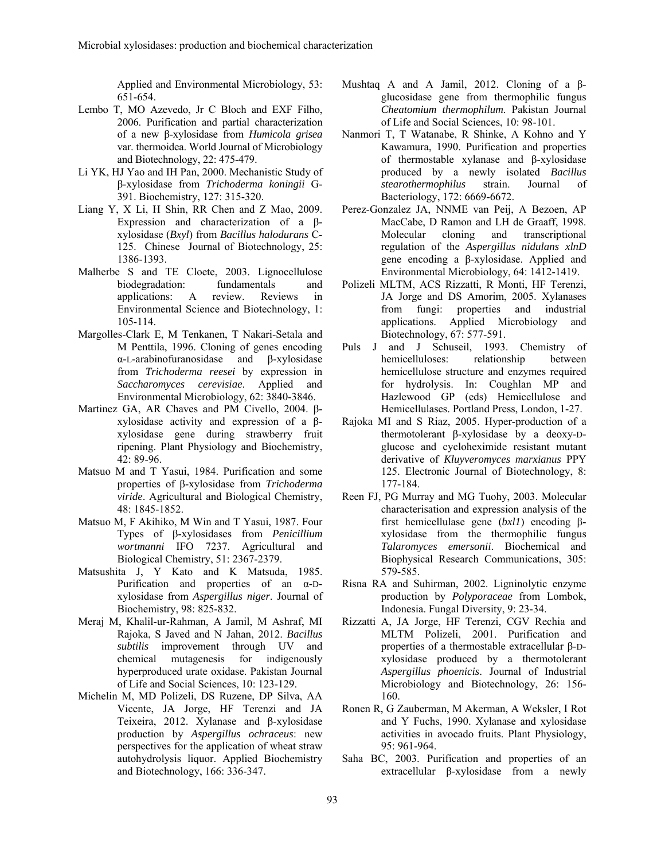Applied and Environmental Microbiology, 53: 651-654.

- Lembo T, MO Azevedo, Jr C Bloch and EXF Filho, 2006. Purification and partial characterization of a new β-xylosidase from *Humicola grisea* var. thermoidea. World Journal of Microbiology and Biotechnology, 22: 475-479.
- Li YK, HJ Yao and IH Pan, 2000. Mechanistic Study of β-xylosidase from *Trichoderma koningii* G-391. Biochemistry, 127: 315-320.
- Liang Y, X Li, H Shin, RR Chen and Z Mao, 2009. Expression and characterization of a βxylosidase (*Bxyl*) from *Bacillus halodurans* C-125. Chinese Journal of Biotechnology, 25: 1386-1393.
- Malherbe S and TE Cloete, 2003. Lignocellulose biodegradation: fundamentals and applications: A review. Reviews in Environmental Science and Biotechnology, 1: 105-114.
- Margolles-Clark E, M Tenkanen, T Nakari-Setala and M Penttila, 1996. Cloning of genes encoding α-L-arabinofuranosidase and β-xylosidase from *Trichoderma reesei* by expression in *Saccharomyces cerevisiae*. Applied and Environmental Microbiology, 62: 3840-3846.
- Martinez GA, AR Chaves and PM Civello, 2004. βxylosidase activity and expression of a βxylosidase gene during strawberry fruit ripening. Plant Physiology and Biochemistry, 42: 89-96.
- Matsuo M and T Yasui, 1984. Purification and some properties of β-xylosidase from *Trichoderma viride*. Agricultural and Biological Chemistry, 48: 1845-1852.
- Matsuo M, F Akihiko, M Win and T Yasui, 1987. Four Types of β-xylosidases from *Penicillium wortmanni* IFO 7237. Agricultural and Biological Chemistry, 51: 2367-2379.
- Matsushita J, Y Kato and K Matsuda, 1985. Purification and properties of an α-Dxylosidase from *Aspergillus niger*. Journal of Biochemistry, 98: 825-832.
- Meraj M, Khalil-ur-Rahman, A Jamil, M Ashraf, MI Rajoka, S Javed and N Jahan, 2012. *Bacillus subtilis* improvement through UV and chemical mutagenesis for indigenously hyperproduced urate oxidase. Pakistan Journal of Life and Social Sciences, 10: 123-129.
- Michelin M, MD Polizeli, DS Ruzene, DP Silva, AA Vicente, JA Jorge, HF Terenzi and JA Teixeira, 2012. Xylanase and β-xylosidase production by *Aspergillus ochraceus*: new perspectives for the application of wheat straw autohydrolysis liquor. Applied Biochemistry and Biotechnology, 166: 336-347.
- Mushtaq A and A Jamil, 2012. Cloning of a βglucosidase gene from thermophilic fungus *Cheatomium thermophilum*. Pakistan Journal of Life and Social Sciences, 10: 98-101.
- Nanmori T, T Watanabe, R Shinke, A Kohno and Y Kawamura, 1990. Purification and properties of thermostable xylanase and β-xylosidase produced by a newly isolated *Bacillus stearothermophilus* strain. Journal of Bacteriology, 172: 6669-6672.
- Perez-Gonzalez JA, NNME van Peij, A Bezoen, AP MacCabe, D Ramon and LH de Graaff, 1998. Molecular cloning and transcriptional regulation of the *Aspergillus nidulans xlnD* gene encoding a β-xylosidase. Applied and Environmental Microbiology, 64: 1412-1419.
- Polizeli MLTM, ACS Rizzatti, R Monti, HF Terenzi, JA Jorge and DS Amorim, 2005. Xylanases from fungi: properties and industrial applications. Applied Microbiology and Biotechnology, 67: 577-591.
- Puls J and J Schuseil, 1993. Chemistry of hemicelluloses: relationship between hemicellulose structure and enzymes required for hydrolysis. In: Coughlan MP and Hazlewood GP (eds) Hemicellulose and Hemicellulases. Portland Press, London, 1-27.
- Rajoka MI and S Riaz, 2005. Hyper-production of a thermotolerant β-xylosidase by a deoxy-Dglucose and cycloheximide resistant mutant derivative of *Kluyveromyces marxianus* PPY 125. Electronic Journal of Biotechnology, 8: 177-184.
- Reen FJ, PG Murray and MG Tuohy, 2003. Molecular characterisation and expression analysis of the first hemicellulase gene (*bxl1*) encoding βxylosidase from the thermophilic fungus *Talaromyces emersonii*. Biochemical and Biophysical Research Communications, 305: 579-585.
- Risna RA and Suhirman, 2002. Ligninolytic enzyme production by *Polyporaceae* from Lombok, Indonesia. Fungal Diversity, 9: 23-34.
- Rizzatti A, JA Jorge, HF Terenzi, CGV Rechia and MLTM Polizeli, 2001. Purification and properties of a thermostable extracellular β-Dxylosidase produced by a thermotolerant *Aspergillus phoenicis*. Journal of Industrial Microbiology and Biotechnology, 26: 156- 160.
- Ronen R, G Zauberman, M Akerman, A Weksler, I Rot and Y Fuchs, 1990. Xylanase and xylosidase activities in avocado fruits. Plant Physiology, 95: 961-964.
- Saha BC, 2003. Purification and properties of an extracellular β-xylosidase from a newly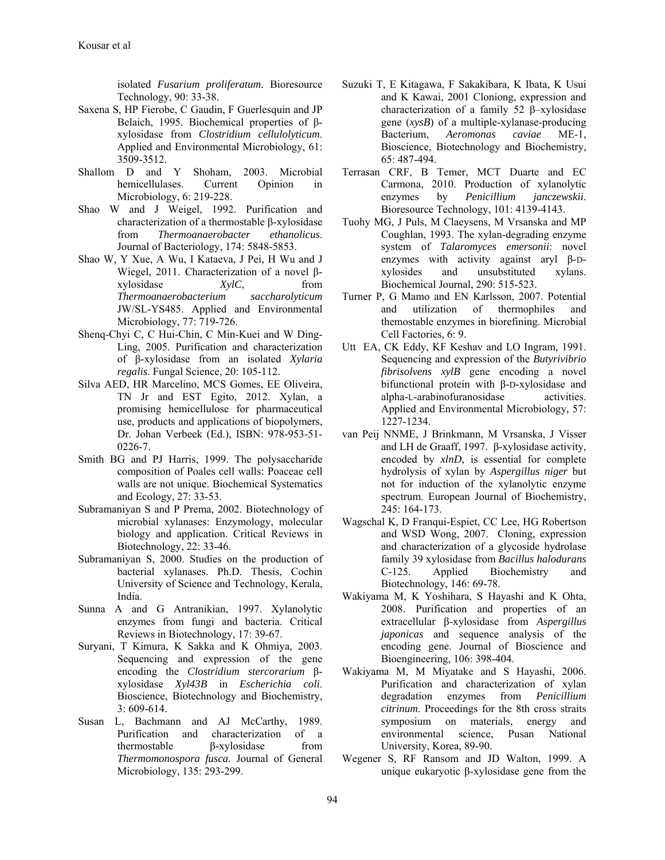isolated *Fusarium proliferatum.* Bioresource Technology, 90: 33-38.

- Saxena S, HP Fierobe, C Gaudin, F Guerlesquin and JP Belaich, 1995. Biochemical properties of βxylosidase from *Clostridium cellulolyticum*. Applied and Environmental Microbiology, 61: 3509-3512.
- Shallom D and Y Shoham, 2003. Microbial hemicellulases. Current Opinion in Microbiology, 6: 219-228.
- Shao W and J Weigel, 1992. Purification and characterization of a thermostable β-xylosidase from *Thermoanaerobacter ethanolicus*. Journal of Bacteriology, 174: 5848-5853.
- Shao W, Y Xue, A Wu, I Kataeva, J Pei, H Wu and J Wiegel, 2011. Characterization of a novel βxylosidase *XylC*, from *Thermoanaerobacterium saccharolyticum*  JW/SL-YS485. Applied and Environmental Microbiology, 77: 719-726.
- Shenq-Chyi C, C Hui-Chin, C Min-Kuei and W Ding-Ling, 2005. Purification and characterization of β-xylosidase from an isolated *Xylaria regalis*. Fungal Science, 20: 105-112.
- Silva AED, HR Marcelino, MCS Gomes, EE Oliveira, TN Jr and EST Egito, 2012. Xylan, a promising hemicellulose for pharmaceutical use, products and applications of biopolymers, Dr. Johan Verbeek (Ed.), ISBN: 978-953-51- 0226-7.
- Smith BG and PJ Harris, 1999. The polysaccharide composition of Poales cell walls: Poaceae cell walls are not unique. Biochemical Systematics and Ecology, 27: 33-53.
- Subramaniyan S and P Prema, 2002. Biotechnology of microbial xylanases: Enzymology, molecular biology and application. Critical Reviews in Biotechnology, 22: 33-46.
- Subramaniyan S, 2000. Studies on the production of bacterial xylanases. Ph.D. Thesis, Cochin University of Science and Technology, Kerala, India.
- Sunna A and G Antranikian, 1997. Xylanolytic enzymes from fungi and bacteria. Critical Reviews in Biotechnology, 17: 39-67.
- Suryani, T Kimura, K Sakka and K Ohmiya, 2003. Sequencing and expression of the gene encoding the *Clostridium stercorarium* βxylosidase *Xyl43B* in *Escherichia coli*. Bioscience, Biotechnology and Biochemistry, 3: 609-614.
- Susan L, Bachmann and AJ McCarthy, 1989. Purification and characterization of a thermostable β-xylosidase from *Thermomonospora fusca.* Journal of General Microbiology, 135: 293-299.
- Suzuki T, E Kitagawa, F Sakakibara, K Ibata, K Usui and K Kawai, 2001 Cloniong, expression and characterization of a family 52 β–xylosidase gene (*xysB*) of a multiple-xylanase-producing Bacterium, *Aeromonas caviae* ME-1, Bioscience, Biotechnology and Biochemistry, 65: 487-494.
- Terrasan CRF, B Temer, MCT Duarte and EC Carmona, 2010. Production of xylanolytic enzymes by *Penicillium janczewskii*. Bioresource Technology, 101: 4139-4143.
- Tuohy MG, J Puls, M Claeysens, M Vrsanska and MP Coughlan, 1993. The xylan-degrading enzyme system of *Talaromyces emersonii*: novel enzymes with activity against aryl β-Dxylosides and unsubstituted xylans. Biochemical Journal, 290: 515-523.
- Turner P, G Mamo and EN Karlsson, 2007. Potential and utilization of thermophiles and themostable enzymes in biorefining. Microbial Cell Factories, 6: 9.
- Utt EA, CK Eddy, KF Keshav and LO Ingram, 1991. Sequencing and expression of the *Butyrivibrio fibrisolvens xylB* gene encoding a novel bifunctional protein with β-D-xylosidase and alpha-L-arabinofuranosidase activities. Applied and Environmental Microbiology, 57: 1227-1234.
- van Peij NNME, J Brinkmann, M Vrsanska, J Visser and LH de Graaff, 1997. β-xylosidase activity, encoded by *xlnD*, is essential for complete hydrolysis of xylan by *Aspergillus niger* but not for induction of the xylanolytic enzyme spectrum. European Journal of Biochemistry, 245: 164-173.
- Wagschal K, D Franqui-Espiet, CC Lee, HG Robertson and WSD Wong, 2007. Cloning, expression and characterization of a glycoside hydrolase family 39 xylosidase from *Bacillus halodurans* C-125. Applied Biochemistry and Biotechnology, 146: 69-78.
- Wakiyama M, K Yoshihara, S Hayashi and K Ohta, 2008. Purification and properties of an extracellular β-xylosidase from *Aspergillus japonicas* and sequence analysis of the encoding gene. Journal of Bioscience and Bioengineering, 106: 398-404.
- Wakiyama M, M Miyatake and S Hayashi, 2006. Purification and characterization of xylan degradation enzymes from *Penicillium citrinum*. Proceedings for the 8th cross straits symposium on materials, energy and environmental science, Pusan National University, Korea, 89-90.
- Wegener S, RF Ransom and JD Walton, 1999. A unique eukaryotic β-xylosidase gene from the